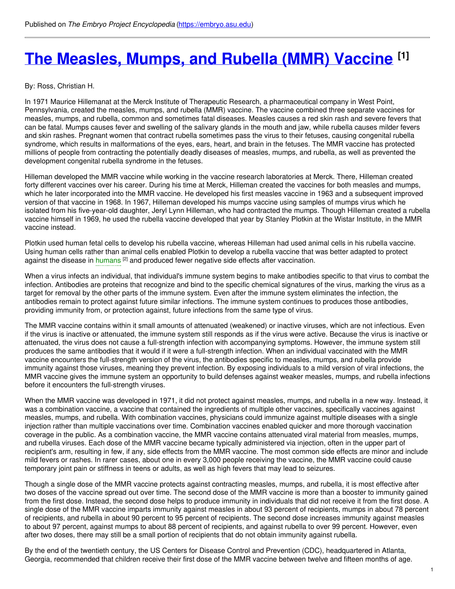# **The [Measles,](https://embryo.asu.edu/pages/measles-mumps-and-rubella-mmr-vaccine) Mumps, and Rubella (MMR) Vaccine [1]**

#### By: Ross, Christian H.

In 1971 Maurice Hillemanat at the Merck Institute of Therapeutic Research, a pharmaceutical company in West Point, Pennsylvania, created the measles, mumps, and rubella (MMR) vaccine. The vaccine combined three separate vaccines for measles, mumps, and rubella, common and sometimes fatal diseases. Measles causes a red skin rash and severe fevers that can be fatal. Mumps causes fever and swelling of the salivary glands in the mouth and jaw, while rubella causes milder fevers and skin rashes. Pregnant women that contract rubella sometimes pass the virus to their fetuses, causing congenital rubella syndrome, which results in malformations of the eyes, ears, heart, and brain in the fetuses. The MMR vaccine has protected millions of people from contracting the potentially deadly diseases of measles, mumps, and rubella, as well as prevented the development congenital rubella syndrome in the fetuses.

Hilleman developed the MMR vaccine while working in the vaccine research laboratories at Merck. There, Hilleman created forty different vaccines over his career. During his time at Merck, Hilleman created the vaccines for both measles and mumps, which he later incorporated into the MMR vaccine. He developed his first measles vaccine in 1963 and a subsequent improved version of that vaccine in 1968. In 1967, Hilleman developed his mumps vaccine using samples of mumps virus which he isolated from his five-year-old daughter, Jeryl Lynn Hilleman, who had contracted the mumps. Though Hilleman created a rubella vaccine himself in 1969, he used the rubella vaccine developed that year by Stanley Plotkin at the Wistar Institute, in the MMR vaccine instead.

Plotkin used human fetal cells to develop his rubella vaccine, whereas Hilleman had used animal cells in his rubella vaccine. Using human cells rather than animal cells enabled Plotkin to develop a rubella vaccine that was better adapted to protect against the disease in [humans](https://embryo.asu.edu/search?text=humans) <a>[2]</a> and produced fewer negative side effects after vaccination.

When a virus infects an individual, that individual's immune system begins to make antibodies specific to that virus to combat the infection. Antibodies are proteins that recognize and bind to the specific chemical signatures of the virus, marking the virus as a target for removal by the other parts of the immune system. Even after the immune system eliminates the infection, the antibodies remain to protect against future similar infections. The immune system continues to produces those antibodies, providing immunity from, or protection against, future infections from the same type of virus.

The MMR vaccine contains within it small amounts of attenuated (weakened) or inactive viruses, which are not infectious. Even if the virus is inactive or attenuated, the immune system still responds as if the virus were active. Because the virus is inactive or attenuated, the virus does not cause a full-strength infection with accompanying symptoms. However, the immune system still produces the same antibodies that it would if it were a full-strength infection. When an individual vaccinated with the MMR vaccine encounters the full-strength version of the virus, the antibodies specific to measles, mumps, and rubella provide immunity against those viruses, meaning they prevent infection. By exposing individuals to a mild version of viral infections, the MMR vaccine gives the immune system an opportunity to build defenses against weaker measles, mumps, and rubella infections before it encounters the full-strength viruses.

When the MMR vaccine was developed in 1971, it did not protect against measles, mumps, and rubella in a new way. Instead, it was a combination vaccine, a vaccine that contained the ingredients of multiple other vaccines, specifically vaccines against measles, mumps, and rubella. With combination vaccines, physicians could immunize against multiple diseases with a single injection rather than multiple vaccinations over time. Combination vaccines enabled quicker and more thorough vaccination coverage in the public. As a combination vaccine, the MMR vaccine contains attenuated viral material from measles, mumps, and rubella viruses. Each dose of the MMR vaccine became typically administered via injection, often in the upper part of recipient's arm, resulting in few, if any, side effects from the MMR vaccine. The most common side effects are minor and include mild fevers or rashes. In rarer cases, about one in every 3,000 people receiving the vaccine, the MMR vaccine could cause temporary joint pain or stiffness in teens or adults, as well as high fevers that may lead to seizures.

Though a single dose of the MMR vaccine protects against contracting measles, mumps, and rubella, it is most effective after two doses of the vaccine spread out over time. The second dose of the MMR vaccine is more than a booster to immunity gained from the first dose. Instead, the second dose helps to produce immunity in individuals that did not receive it from the first dose. A single dose of the MMR vaccine imparts immunity against measles in about 93 percent of recipients, mumps in about 78 percent of recipients, and rubella in about 90 percent to 95 percent of recipients. The second dose increases immunity against measles to about 97 percent, against mumps to about 88 percent of recipients, and against rubella to over 99 percent. However, even after two doses, there may still be a small portion of recipients that do not obtain immunity against rubella.

By the end of the twentieth century, the US Centers for Disease Control and Prevention (CDC), headquartered in Atlanta, Georgia, recommended that children receive their first dose of the MMR vaccine between twelve and fifteen months of age.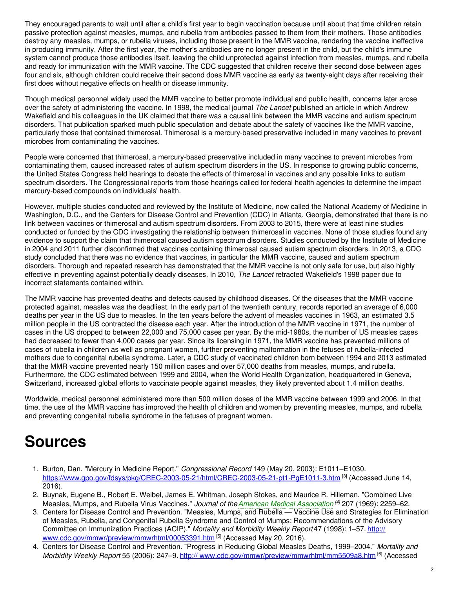They encouraged parents to wait until after a child's first year to begin vaccination because until about that time children retain passive protection against measles, mumps, and rubella from antibodies passed to them from their mothers. Those antibodies destroy any measles, mumps, or rubella viruses, including those present in the MMR vaccine, rendering the vaccine ineffective in producing immunity. After the first year, the mother's antibodies are no longer present in the child, but the child's immune system cannot produce those antibodies itself, leaving the child unprotected against infection from measles, mumps, and rubella and ready for immunization with the MMR vaccine. The CDC suggested that children receive their second dose between ages four and six, although children could receive their second does MMR vaccine as early as twenty-eight days after receiving their first does without negative effects on health or disease immunity.

Though medical personnel widely used the MMR vaccine to better promote individual and public health, concerns later arose over the safety of administering the vaccine. In 1998, the medical journal *The Lancet* published an article in which Andrew Wakefield and his colleagues in the UK claimed that there was a causal link between the MMR vaccine and autism spectrum disorders. That publication sparked much public speculation and debate about the safety of vaccines like the MMR vaccine, particularly those that contained thimerosal. Thimerosal is a mercury-based preservative included in many vaccines to prevent microbes from contaminating the vaccines.

People were concerned that thimerosal, a mercury-based preservative included in many vaccines to prevent microbes from contaminating them, caused increased rates of autism spectrum disorders in the US. In response to growing public concerns, the United States Congress held hearings to debate the effects of thimerosal in vaccines and any possible links to autism spectrum disorders. The Congressional reports from those hearings called for federal health agencies to determine the impact mercury-based compounds on individuals' health.

However, multiple studies conducted and reviewed by the Institute of Medicine, now called the National Academy of Medicine in Washington, D.C., and the Centers for Disease Control and Prevention (CDC) in Atlanta, Georgia, demonstrated that there is no link between vaccines or thimerosal and autism spectrum disorders. From 2003 to 2015, there were at least nine studies conducted or funded by the CDC investigating the relationship between thimerosal in vaccines. None of those studies found any evidence to support the claim that thimerosal caused autism spectrum disorders. Studies conducted by the Institute of Medicine in 2004 and 2011 further disconfirmed that vaccines containing thimerosal caused autism spectrum disorders. In 2013, a CDC study concluded that there was no evidence that vaccines, in particular the MMR vaccine, caused and autism spectrum disorders. Thorough and repeated research has demonstrated that the MMR vaccine is not only safe for use, but also highly effective in preventing against potentially deadly diseases. In 2010, *The Lancet* retracted Wakefield's 1998 paper due to incorrect statements contained within.

The MMR vaccine has prevented deaths and defects caused by childhood diseases. Of the diseases that the MMR vaccine protected against, measles was the deadliest. In the early part of the twentieth century, records reported an average of 6,000 deaths per year in the US due to measles. In the ten years before the advent of measles vaccines in 1963, an estimated 3.5 million people in the US contracted the disease each year. After the introduction of the MMR vaccine in 1971, the number of cases in the US dropped to between 22,000 and 75,000 cases per year. By the mid-1980s, the number of US measles cases had decreased to fewer than 4,000 cases per year. Since its licensing in 1971, the MMR vaccine has prevented millions of cases of rubella in children as well as pregnant women, further preventing malformation in the fetuses of rubella-infected mothers due to congenital rubella syndrome. Later, a CDC study of vaccinated children born between 1994 and 2013 estimated that the MMR vaccine prevented nearly 150 million cases and over 57,000 deaths from measles, mumps, and rubella. Furthermore, the CDC estimated between 1999 and 2004, when the World Health Organization, headquartered in Geneva, Switzerland, increased global efforts to vaccinate people against measles, they likely prevented about 1.4 million deaths.

Worldwide, medical personnel administered more than 500 million doses of the MMR vaccine between 1999 and 2006. In that time, the use of the MMR vaccine has improved the health of children and women by preventing measles, mumps, and rubella and preventing congenital rubella syndrome in the fetuses of pregnant women.

# **Sources**

- 1. Burton, Dan. "Mercury in Medicine Report." *Congressional Record* 149 (May 20, 2003): E1011–E1030. <https://www.gpo.gov/fdsys/pkg/CREC-2003-05-21/html/CREC-2003-05-21-pt1-PgE1011-3.htm> [3] (Accessed June 14, 2016).
- 2. Buynak, Eugene B., Robert E. Weibel, James E. Whitman, Joseph Stokes, and Maurice R. Hilleman. "Combined Live Measles, Mumps, and Rubella Virus Vaccines." *Journal of theAmerican Medical [Association](https://embryo.asu.edu/search?text=American%20Medical%20Association) [4]* 207 (1969): 2259–62.
- 3. Centers for Disease Control and Prevention. "Measles, Mumps, and Rubella Vaccine Use and Strategies for Elimination of Measles, Rubella, and Congenital Rubella Syndrome and Control of Mumps: Recommendations of the Advisory Committee on Immunization Practices (ACIP)." *Mortality and Morbidity Weekly Report* 47 (1998): 1–57. http:// [www.cdc.gov/mmwr/preview/mmwrhtml/00053391.htm](http://www.cdc.gov/mmwr/preview/mmwrhtml/00053391.htm) [5] (Accessed May 20, 2016).
- 4. Centers for Disease Control and Prevention. "Progress in Reducing Global Measles Deaths, 1999–2004." *Mortality and Morbidity Weekly Report* 55 (2006): 247–9. http:// [www.cdc.gov/mmwr/preview/mmwrhtml/mm5509a8.htm](http://www.cdc.gov/mmwr/preview/mmwrhtml/mm5509a8.htm) [6] (Accessed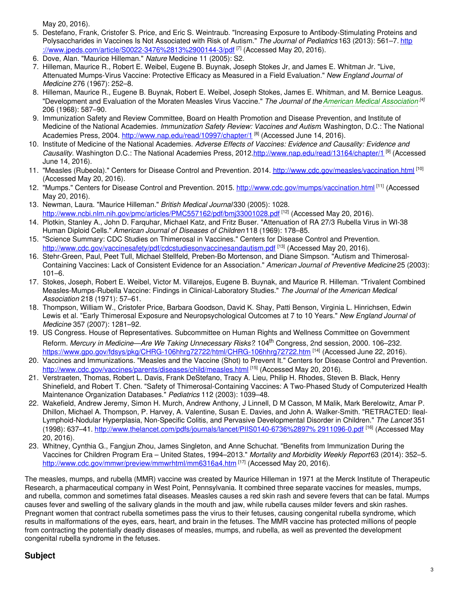May 20, 2016).

- 5. Destefano, Frank, Cristofer S. Price, and Eric S. Weintraub. "Increasing Exposure to Antibody-Stimulating Proteins and Polysaccharides in Vaccines Is Not Associated with Risk of Autism." *The Journal of Pediatrics* 163 (2013): 561–7. http [://www.jpeds.com/article/S0022-3476%2813%2900144-3/pdf](http://www.jpeds.com/article/S0022-3476%252813%252900144-3/pdf) [7] (Accessed May 20, 2016).
- 6. Dove, Alan. "Maurice Hilleman." *Nature* Medicine 11 (2005): S2.
- 7. Hilleman, Maurice R., Robert E. Weibel, Eugene B. Buynak, Joseph Stokes Jr, and James E. Whitman Jr. "Live, Attenuated Mumps-Virus Vaccine: Protective Efficacy as Measured in a Field Evaluation." *New England Journal of Medicine* 276 (1967): 252–8.
- 8. Hilleman, Maurice R., Eugene B. Buynak, Robert E. Weibel, Joseph Stokes, James E. Whitman, and M. Bernice Leagus. "Development and Evaluation of the Moraten Measles Virus Vaccine." *The Journal of theAmerican Medical [Association](https://embryo.asu.edu/search?text=American%20Medical%20Association) [4]* 206 (1968): 587–90.
- 9. Immunization Safety and Review Committee, Board on Health Promotion and Disease Prevention, and Institute of Medicine of the National Academies. *Immunization Safety Review: Vaccines and Autism*. Washington, D.C.: The National Academies Press, 2004. <http://www.nap.edu/read/10997/chapter/1> [8] (Accessed June 14, 2016).
- 10. Institute of Medicine of the National Academies. *Adverse Effects of Vaccines: Evidence and Causality: Evidence and* Causality. Washington D.C.: The National Academies Press, 2012[.http://www.nap.edu/read/13164/chapter/1](http://www.nap.edu/read/13164/chapter/1)<sup>[9]</sup> (Accessed June 14, 2016).
- 11. "Measles (Rubeola)." Centers for Disease Control and Prevention. 2014. <http://www.cdc.gov/measles/vaccination.html> <sup>[10]</sup> (Accessed May 20, 2016).
- 12. "Mumps." Centers for Disease Control and Prevention. 2015. <http://www.cdc.gov/mumps/vaccination.html> <sup>[11</sup>] (Accessed May 20, 2016).
- 13. Newman, Laura. "Maurice Hilleman." *British Medical Journal* 330 (2005): 1028. <http://www.ncbi.nlm.nih.gov/pmc/articles/PMC557162/pdf/bmj33001028.pdf> <sup>[12]</sup> (Accessed May 20, 2016).
- 14. Plotkin, Stanley A., John D. Farquhar, Michael Katz, and Fritz Buser. "Attenuation of RA 27/3 Rubella Virus in WI-38 Human Diploid Cells." *American Journal of Diseases of Children* 118 (1969): 178–85.
- 15. "Science Summary: CDC Studies on Thimerosal in Vaccines." Centers for Disease Control and Prevention. <http://www.cdc.gov/vaccinesafety/pdf/cdcstudiesonvaccinesandautism.pdf> [13] (Accessed May 20, 2016).
- 16. Stehr-Green, Paul, Peet Tull, Michael Stellfeld, Preben-Bo Mortenson, and Diane Simpson. "Autism and Thimerosal-Containing Vaccines: Lack of Consistent Evidence for an Association." *American Journal of Preventive Medicine* 25 (2003): 101–6.
- 17. Stokes, Joseph, Robert E. Weibel, Victor M. Villarejos, Eugene B. Buynak, and Maurice R. Hilleman. "Trivalent Combined Measles-Mumps-Rubella Vaccine: Findings in Clinical-Laboratory Studies." *The Journal of the American Medical Association* 218 (1971): 57–61.
- 18. Thompson, William W., Cristofer Price, Barbara Goodson, David K. Shay, Patti Benson, Virginia L. Hinrichsen, Edwin Lewis et al. "Early Thimerosal Exposure and Neuropsychological Outcomes at 7 to 10 Years." *New England Journal of Medicine* 357 (2007): 1281–92.
- 19. US Congress. House of Representatives. Subcommittee on Human Rights and Wellness Committee on Government Reform. *Mercury in Medicine—Are We Taking Unnecessary Risks?*. 104 th Congress, 2nd session, 2000. 106–232. <https://www.gpo.gov/fdsys/pkg/CHRG-106hhrg72722/html/CHRG-106hhrg72722.htm> [14] (Accessed June 22, 2016).
- 20. Vaccines and Immunizations. "Measles and the Vaccine (Shot) to Prevent It." Centers for Disease Control and Prevention. <http://www.cdc.gov/vaccines/parents/diseases/child/measles.html> <sup>[15]</sup> (Accessed May 20, 2016).
- 21. Verstraeten, Thomas, Robert L. Davis, Frank DeStefano, Tracy A. Lieu, Philip H. Rhodes, Steven B. Black, Henry Shinefield, and Robert T. Chen. "Safety of Thimerosal-Containing Vaccines: A Two-Phased Study of Computerized Health Maintenance Organization Databases." *Pediatrics* 112 (2003): 1039–48.
- 22. Wakefield, Andrew Jeremy, Simon H. Murch, Andrew Anthony, J Linnell, D M Casson, M Malik, Mark Berelowitz, Amar P. Dhillon, Michael A. Thompson, P. Harvey, A. Valentine, Susan E. Davies, and John A. Walker-Smith. "RETRACTED: Ileal-Lymphoid-Nodular Hyperplasia, Non-Specific Colitis, and Pervasive Developmental Disorder in Children." *The Lancet* 351 (1998): 637–41. <u>[http://www.thelancet.com/pdfs/journals/lancet/PIIS0140-6736%2897%](http://www.thelancet.com/pdfs/journals/lancet/PIIS0140-6736%252897%252911096-0.pdf) 2911096-0.pdf</u> <sup>[16]</sup> (Accessed May 20, 2016).
- 23. Whitney, Cynthia G., Fangjun Zhou, James Singleton, and Anne Schuchat. "Benefits from Immunization During the Vaccines for Children Program Era – United States, 1994–2013." *Mortality and Morbidity Weekly Report* 63 (2014): 352–5. <http://www.cdc.gov/mmwr/preview/mmwrhtml/mm6316a4.htm> [17] (Accessed May 20, 2016).

The measles, mumps, and rubella (MMR) vaccine was created by Maurice Hilleman in 1971 at the Merck Institute of Therapeutic Research, a pharmaceutical company in West Point, Pennsylvania. It combined three separate vaccines for measles, mumps, and rubella, common and sometimes fatal diseases. Measles causes a red skin rash and severe fevers that can be fatal. Mumps causes fever and swelling of the salivary glands in the mouth and jaw, while rubella causes milder fevers and skin rashes. Pregnant women that contract rubella sometimes pass the virus to their fetuses, causing congenital rubella syndrome, which results in malformations of the eyes, ears, heart, and brain in the fetuses. The MMR vaccine has protected millions of people from contracting the potentially deadly diseases of measles, mumps, and rubella, as well as prevented the development congenital rubella syndrome in the fetuses.

### **Subject**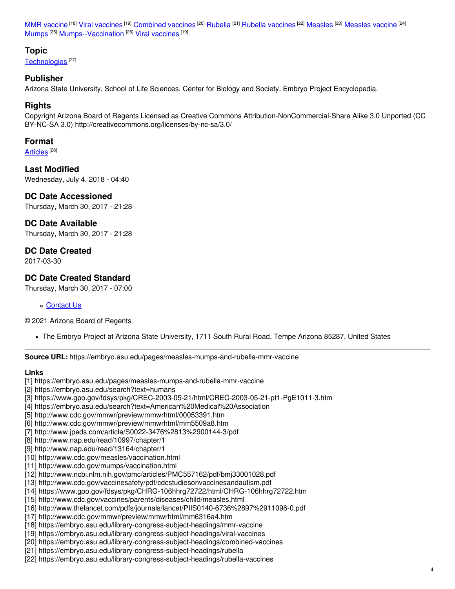<u>MMR [vaccine](https://embryo.asu.edu/library-congress-subject-headings/mmr-vaccine) [18] Viral [vaccines](https://embryo.asu.edu/library-congress-subject-headings/rubella-vaccines) [19] [Combined](https://embryo.asu.edu/library-congress-subject-headings/combined-vaccines) vaccines</u> [20] <u>[Rubella](https://embryo.asu.edu/library-congress-subject-headings/rubella)</u> [21] <u>Rubella vaccines</u> [22] <u>[Measles](https://embryo.asu.edu/library-congress-subject-headings/measles-vaccine) [23] Measles vaccine</u> [24] [Mumps](https://embryo.asu.edu/library-congress-subject-headings/mumps) <sup>[25]</sup> [Mumps--Vaccination](https://embryo.asu.edu/library-congress-subject-headings/mumps-vaccination) <sup>[26]</sup> Viral [vaccines](https://embryo.asu.edu/library-congress-subject-headings/viral-vaccines) <sup>[19]</sup>

#### **Topic**

[Technologies](https://embryo.asu.edu/topics/technologies) [27]

## **Publisher**

Arizona State University. School of Life Sciences. Center for Biology and Society. Embryo Project Encyclopedia.

## **Rights**

Copyright Arizona Board of Regents Licensed as Creative Commons Attribution-NonCommercial-Share Alike 3.0 Unported (CC BY-NC-SA 3.0) http://creativecommons.org/licenses/by-nc-sa/3.0/

### **Format**

<u>[Articles](https://embryo.asu.edu/formats/articles)</u>  $^{[28]}$ 

**Last Modified** Wednesday, July 4, 2018 - 04:40

#### **DC Date Accessioned**

Thursday, March 30, 2017 - 21:28

#### **DC Date Available**

Thursday, March 30, 2017 - 21:28

#### **DC Date Created**

2017-03-30

# **DC Date Created Standard**

Thursday, March 30, 2017 - 07:00

#### **c** [Contact](https://embryo.asu.edu/contact) Us

© 2021 Arizona Board of Regents

The Embryo Project at Arizona State University, 1711 South Rural Road, Tempe Arizona 85287, United States

**Source URL:** https://embryo.asu.edu/pages/measles-mumps-and-rubella-mmr-vaccine

#### **Links**

- [1] https://embryo.asu.edu/pages/measles-mumps-and-rubella-mmr-vaccine
- [2] https://embryo.asu.edu/search?text=humans
- [3] https://www.gpo.gov/fdsys/pkg/CREC-2003-05-21/html/CREC-2003-05-21-pt1-PgE1011-3.htm
- [4] https://embryo.asu.edu/search?text=American%20Medical%20Association
- [5] http://www.cdc.gov/mmwr/preview/mmwrhtml/00053391.htm
- [6] http://www.cdc.gov/mmwr/preview/mmwrhtml/mm5509a8.htm
- [7] http://www.jpeds.com/article/S0022-3476%2813%2900144-3/pdf
- [8] http://www.nap.edu/read/10997/chapter/1
- [9] http://www.nap.edu/read/13164/chapter/1
- [10] http://www.cdc.gov/measles/vaccination.html
- [11] http://www.cdc.gov/mumps/vaccination.html
- [12] http://www.ncbi.nlm.nih.gov/pmc/articles/PMC557162/pdf/bmj33001028.pdf
- [13] http://www.cdc.gov/vaccinesafety/pdf/cdcstudiesonvaccinesandautism.pdf
- [14] https://www.gpo.gov/fdsys/pkg/CHRG-106hhrg72722/html/CHRG-106hhrg72722.htm
- [15] http://www.cdc.gov/vaccines/parents/diseases/child/measles.html
- [16] http://www.thelancet.com/pdfs/journals/lancet/PIIS0140-6736%2897%2911096-0.pdf
- [17] http://www.cdc.gov/mmwr/preview/mmwrhtml/mm6316a4.htm
- [18] https://embryo.asu.edu/library-congress-subject-headings/mmr-vaccine
- [19] https://embryo.asu.edu/library-congress-subject-headings/viral-vaccines
- [20] https://embryo.asu.edu/library-congress-subject-headings/combined-vaccines
- [21] https://embryo.asu.edu/library-congress-subject-headings/rubella
- [22] https://embryo.asu.edu/library-congress-subject-headings/rubella-vaccines